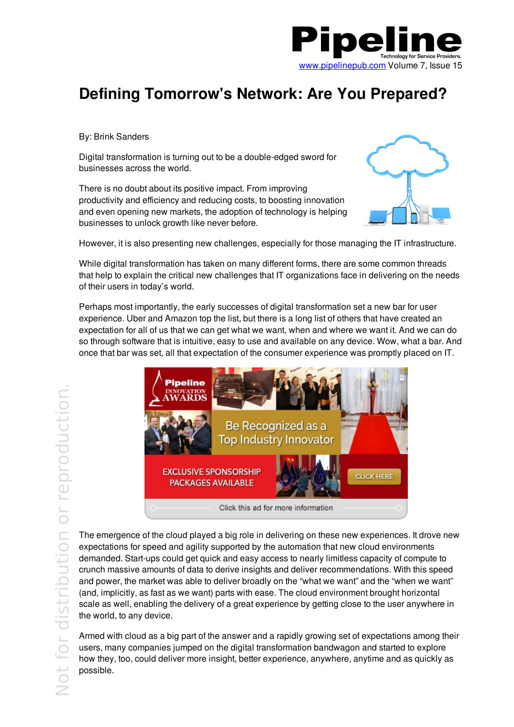

## **Defining Tomorrow's Network: Are You Prepared?**

By: Brink Sanders

Digital transformation is turning out to be a double-edged sword for businesses across the world.

There is no doubt about its positive impact. From improving productivity and efficiency and reducing costs, to boosting innovation and even opening new markets, the adoption of technology is helping businesses to unlock growth like never before.



However, it is also presenting new challenges, especially for those managing the IT infrastructure.

While digital transformation has taken on many different forms, there are some common threads that help to explain the critical new challenges that IT organizations face in delivering on the needs of their users in today's world.

Perhaps most importantly, the early successes of digital transformation set a new bar for user experience. Uber and Amazon top the list, but there is a long list of others that have created an expectation for all of us that we can get what we want, when and where we want it. And we can do so through software that is intuitive, easy to use and available on any device. Wow, what a bar. And once that bar was set, all that expectation of the consumer experience was promptly placed on IT.



The emergence of the cloud played a big role in delivering on these new experiences. It drove new expectations for speed and agility supported by the automation that new cloud environments demanded. Start-ups could get quick and easy access to nearly limitless capacity of compute to crunch massive amounts of data to derive insights and deliver recommendations. With this speed and power, the market was able to deliver broadly on the "what we want" and the "when we want" (and, implicitly, as fast as we want) parts with ease. The cloud environment brought horizontal scale as well, enabling the delivery of a great experience by getting close to the user anywhere in the world, to any device.

Armed with cloud as a big part of the answer and a rapidly growing set of expectations among their users, many companies jumped on the digital transformation bandwagon and started to explore how they, too, could deliver more insight, better experience, anywhere, anytime and as quickly as possible.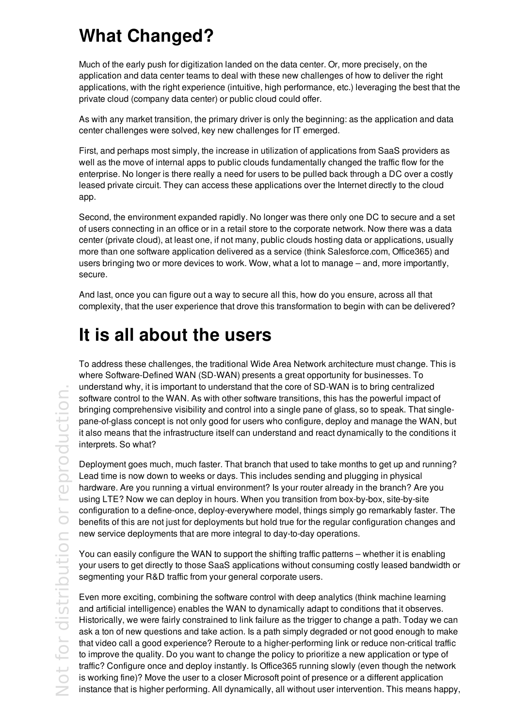## **What Changed?**

Much of the early push for digitization landed on the data center. Or, more precisely, on the application and data center teams to deal with these new challenges of how to deliver the right applications, with the right experience (intuitive, high performance, etc.) leveraging the best that the private cloud (company data center) or public cloud could offer.

As with any market transition, the primary driver is only the beginning: as the application and data center challenges were solved, key new challenges for IT emerged.

First, and perhaps most simply, the increase in utilization of applications from SaaS providers as well as the move of internal apps to public clouds fundamentally changed the traffic flow for the enterprise. No longer is there really a need for users to be pulled back through a DC over a costly leased private circuit. They can access these applications over the Internet directly to the cloud app.

Second, the environment expanded rapidly. No longer was there only one DC to secure and a set of users connecting in an office or in a retail store to the corporate network. Now there was a data center (private cloud), at least one, if not many, public clouds hosting data or applications, usually more than one software application delivered as a service (think Salesforce.com, Office365) and users bringing two or more devices to work. Wow, what a lot to manage – and, more importantly, secure.

And last, once you can figure out a way to secure all this, how do you ensure, across all that complexity, that the user experience that drove this transformation to begin with can be delivered?

## **It is all about the users**

To address these challenges, the traditional Wide Area Network architecture must change. This is where Software-Defined WAN (SD-WAN) presents a great opportunity for businesses. To understand why, it is important to understand that the core of SD-WAN is to bring centralized software control to the WAN. As with other software transitions, this has the powerful impact of bringing comprehensive visibility and control into a single pane of glass, so to speak. That singlepane-of-glass concept is not only good for users who configure, deploy and manage the WAN, but it also means that the infrastructure itself can understand and react dynamically to the conditions it interprets. So what?

Deployment goes much, much faster. That branch that used to take months to get up and running? Lead time is now down to weeks or days. This includes sending and plugging in physical hardware. Are you running a virtual environment? Is your router already in the branch? Are you using LTE? Now we can deploy in hours. When you transition from box-by-box, site-by-site configuration to a define-once, deploy-everywhere model, things simply go remarkably faster. The benefits of this are not just for deployments but hold true for the regular configuration changes and new service deployments that are more integral to day-to-day operations.

You can easily configure the WAN to support the shifting traffic patterns – whether it is enabling your users to get directly to those SaaS applications without consuming costly leased bandwidth or segmenting your R&D traffic from your general corporate users.

Even more exciting, combining the software control with deep analytics (think machine learning and artificial intelligence) enables the WAN to dynamically adapt to conditions that it observes. Historically, we were fairly constrained to link failure as the trigger to change a path. Today we can ask a ton of new questions and take action. Is a path simply degraded or not good enough to make that video call a good experience? Reroute to a higher-performing link or reduce non-critical traffic to improve the quality. Do you want to change the policy to prioritize a new application or type of traffic? Configure once and deploy instantly. Is Office365 running slowly (even though the network is working fine)? Move the user to a closer Microsoft point of presence or a different application instance that is higher performing. All dynamically, all without user intervention. This means happy,